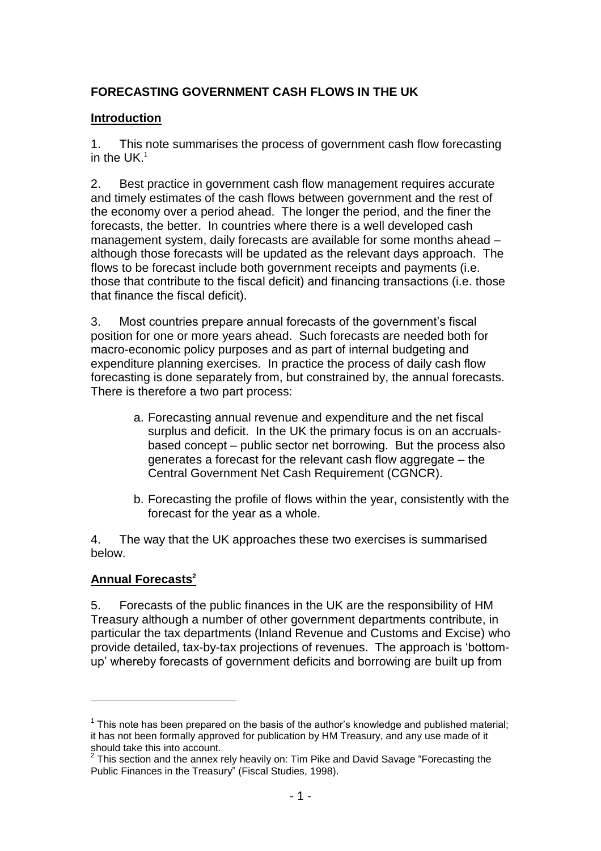# **FORECASTING GOVERNMENT CASH FLOWS IN THE UK**

### **Introduction**

1. This note summarises the process of government cash flow forecasting in the  $UK<sup>1</sup>$ 

2. Best practice in government cash flow management requires accurate and timely estimates of the cash flows between government and the rest of the economy over a period ahead. The longer the period, and the finer the forecasts, the better. In countries where there is a well developed cash management system, daily forecasts are available for some months ahead – although those forecasts will be updated as the relevant days approach. The flows to be forecast include both government receipts and payments (i.e. those that contribute to the fiscal deficit) and financing transactions (i.e. those that finance the fiscal deficit).

3. Most countries prepare annual forecasts of the government's fiscal position for one or more years ahead. Such forecasts are needed both for macro-economic policy purposes and as part of internal budgeting and expenditure planning exercises. In practice the process of daily cash flow forecasting is done separately from, but constrained by, the annual forecasts. There is therefore a two part process:

- a. Forecasting annual revenue and expenditure and the net fiscal surplus and deficit. In the UK the primary focus is on an accrualsbased concept – public sector net borrowing. But the process also generates a forecast for the relevant cash flow aggregate – the Central Government Net Cash Requirement (CGNCR).
- b. Forecasting the profile of flows within the year, consistently with the forecast for the year as a whole.

4. The way that the UK approaches these two exercises is summarised below.

## **Annual Forecasts<sup>2</sup>**

5. Forecasts of the public finances in the UK are the responsibility of HM Treasury although a number of other government departments contribute, in particular the tax departments (Inland Revenue and Customs and Excise) who provide detailed, tax-by-tax projections of revenues. The approach is 'bottomup' whereby forecasts of government deficits and borrowing are built up from

 $1$  This note has been prepared on the basis of the author's knowledge and published material; it has not been formally approved for publication by HM Treasury, and any use made of it should take this into account.<br><sup>2</sup> This section and the annex rely heavily on: Tim Pike and David Savage "Forecasting the

Public Finances in the Treasury" (Fiscal Studies, 1998).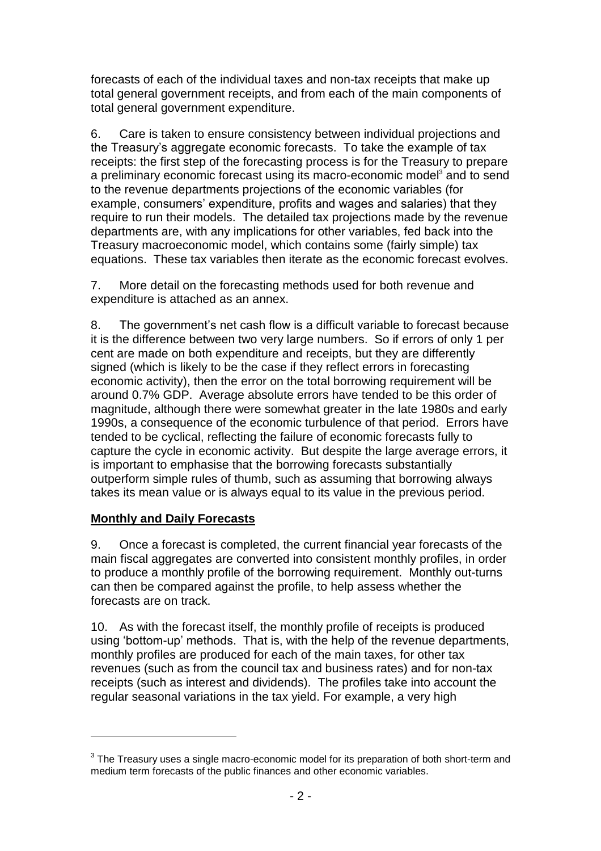forecasts of each of the individual taxes and non-tax receipts that make up total general government receipts, and from each of the main components of total general government expenditure.

6. Care is taken to ensure consistency between individual projections and the Treasury's aggregate economic forecasts. To take the example of tax receipts: the first step of the forecasting process is for the Treasury to prepare a preliminary economic forecast using its macro-economic model<sup>3</sup> and to send to the revenue departments projections of the economic variables (for example, consumers' expenditure, profits and wages and salaries) that they require to run their models. The detailed tax projections made by the revenue departments are, with any implications for other variables, fed back into the Treasury macroeconomic model, which contains some (fairly simple) tax equations. These tax variables then iterate as the economic forecast evolves.

7. More detail on the forecasting methods used for both revenue and expenditure is attached as an annex.

8. The government's net cash flow is a difficult variable to forecast because it is the difference between two very large numbers. So if errors of only 1 per cent are made on both expenditure and receipts, but they are differently signed (which is likely to be the case if they reflect errors in forecasting economic activity), then the error on the total borrowing requirement will be around 0.7% GDP. Average absolute errors have tended to be this order of magnitude, although there were somewhat greater in the late 1980s and early 1990s, a consequence of the economic turbulence of that period. Errors have tended to be cyclical, reflecting the failure of economic forecasts fully to capture the cycle in economic activity. But despite the large average errors, it is important to emphasise that the borrowing forecasts substantially outperform simple rules of thumb, such as assuming that borrowing always takes its mean value or is always equal to its value in the previous period.

## **Monthly and Daily Forecasts**

9. Once a forecast is completed, the current financial year forecasts of the main fiscal aggregates are converted into consistent monthly profiles, in order to produce a monthly profile of the borrowing requirement. Monthly out-turns can then be compared against the profile, to help assess whether the forecasts are on track.

10. As with the forecast itself, the monthly profile of receipts is produced using 'bottom-up' methods. That is, with the help of the revenue departments, monthly profiles are produced for each of the main taxes, for other tax revenues (such as from the council tax and business rates) and for non-tax receipts (such as interest and dividends). The profiles take into account the regular seasonal variations in the tax yield. For example, a very high

 $^3$  The Treasury uses a single macro-economic model for its preparation of both short-term and medium term forecasts of the public finances and other economic variables.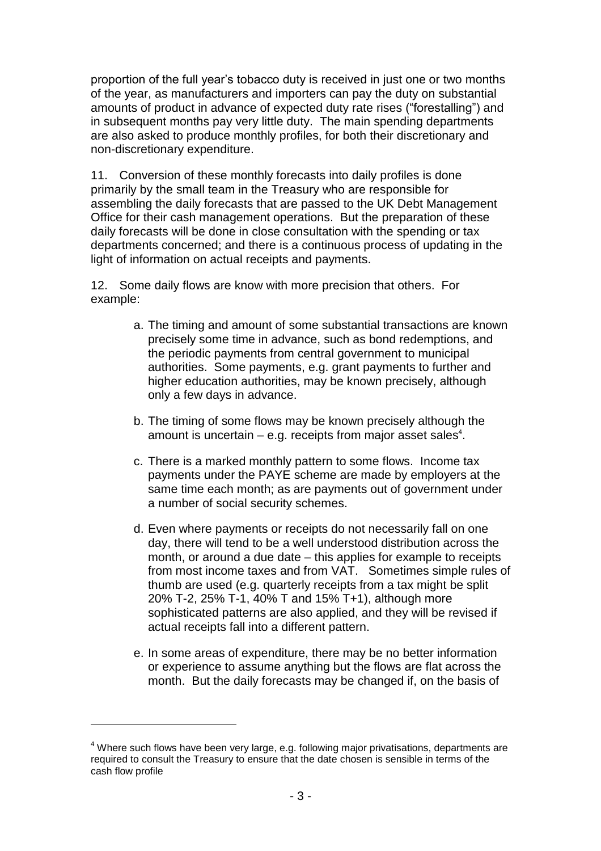proportion of the full year's tobacco duty is received in just one or two months of the year, as manufacturers and importers can pay the duty on substantial amounts of product in advance of expected duty rate rises ("forestalling") and in subsequent months pay very little duty. The main spending departments are also asked to produce monthly profiles, for both their discretionary and non-discretionary expenditure.

11. Conversion of these monthly forecasts into daily profiles is done primarily by the small team in the Treasury who are responsible for assembling the daily forecasts that are passed to the UK Debt Management Office for their cash management operations. But the preparation of these daily forecasts will be done in close consultation with the spending or tax departments concerned; and there is a continuous process of updating in the light of information on actual receipts and payments.

12. Some daily flows are know with more precision that others. For example:

- a. The timing and amount of some substantial transactions are known precisely some time in advance, such as bond redemptions, and the periodic payments from central government to municipal authorities. Some payments, e.g. grant payments to further and higher education authorities, may be known precisely, although only a few days in advance.
- b. The timing of some flows may be known precisely although the amount is uncertain  $-$  e.g. receipts from major asset sales $4$ .
- c. There is a marked monthly pattern to some flows. Income tax payments under the PAYE scheme are made by employers at the same time each month; as are payments out of government under a number of social security schemes.
- d. Even where payments or receipts do not necessarily fall on one day, there will tend to be a well understood distribution across the month, or around a due date – this applies for example to receipts from most income taxes and from VAT. Sometimes simple rules of thumb are used (e.g. quarterly receipts from a tax might be split 20% T-2, 25% T-1, 40% T and 15% T+1), although more sophisticated patterns are also applied, and they will be revised if actual receipts fall into a different pattern.
- e. In some areas of expenditure, there may be no better information or experience to assume anything but the flows are flat across the month. But the daily forecasts may be changed if, on the basis of

 $4$  Where such flows have been very large, e.g. following major privatisations, departments are required to consult the Treasury to ensure that the date chosen is sensible in terms of the cash flow profile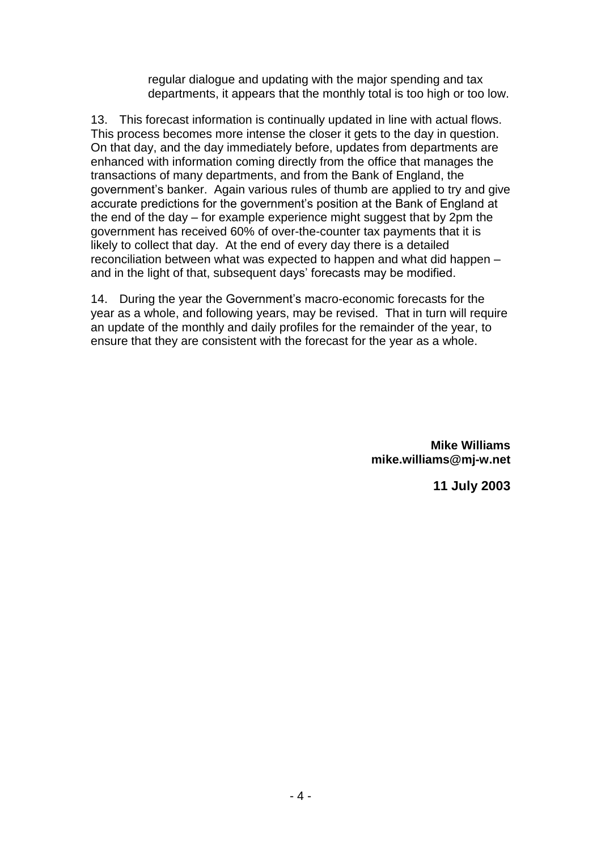regular dialogue and updating with the major spending and tax departments, it appears that the monthly total is too high or too low.

13. This forecast information is continually updated in line with actual flows. This process becomes more intense the closer it gets to the day in question. On that day, and the day immediately before, updates from departments are enhanced with information coming directly from the office that manages the transactions of many departments, and from the Bank of England, the government'sbanker. Again various rules of thumb are applied to try and give accurate predictions for the government's position at the Bank of England at the end of the day  $-$  for example experience might suggest that by 2pm the government has received 60% of over-the-counter tax payments that it is likely to collect that day. At the end of every day there is a detailed reconciliation between what was expected to happen and what did happen – and in the light of that, subsequent days' forecasts may be modified.

14. During the year the Government's macro-economic forecasts for the year as a whole, and following years, may be revised. That in turn will require an update of the monthly and daily profiles for the remainder of the year, to ensure that they are consistent with the forecast for the year as a whole.

> **Mike Williams mike.williams@mj-w.net**

> > **11 July 2003**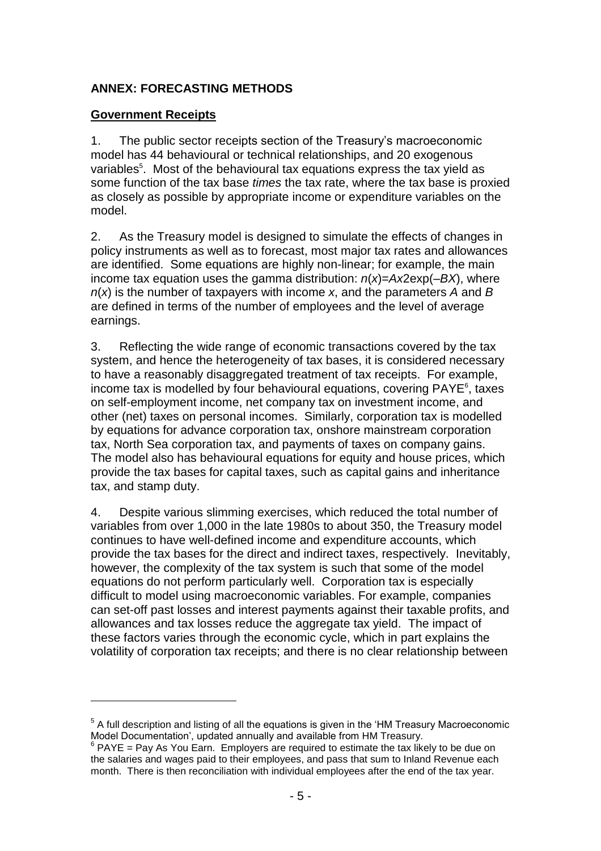### **ANNEX: FORECASTING METHODS**

#### **Government Receipts**

1. The public sector receipts section of the Treasury's macroeconomic model has 44 behavioural or technical relationships, and 20 exogenous variables<sup>5</sup>. Most of the behavioural tax equations express the tax yield as some function of the tax base *times* the tax rate, where the tax base is proxied as closely as possible by appropriate income or expenditure variables on the model.

2. As the Treasury model is designed to simulate the effects of changes in policy instruments as well as to forecast, most major tax rates and allowances are identified. Some equations are highly non-linear; for example, the main income tax equation uses the gamma distribution: *n*(*x*)=*Ax*2exp(–*BX*), where *n*(*x*) is the number of taxpayers with income *x*, and the parameters *A* and *B* are defined in terms of the number of employees and the level of average earnings.

3. Reflecting the wide range of economic transactions covered by the tax system, and hence the heterogeneity of tax bases, it is considered necessary to have a reasonably disaggregated treatment of tax receipts. For example, income tax is modelled by four behavioural equations, covering PAYE<sup>6</sup>, taxes on self-employment income, net company tax on investment income, and other (net) taxes on personal incomes. Similarly, corporation tax is modelled by equations for advance corporation tax, onshore mainstream corporation tax, North Sea corporation tax, and payments of taxes on company gains. The model also has behavioural equations for equity and house prices, which provide the tax bases for capital taxes, such as capital gains and inheritance tax, and stamp duty.

4. Despite various slimming exercises, which reduced the total number of variables from over 1,000 in the late 1980s to about 350, the Treasury model continues to have well-defined income and expenditure accounts, which provide the tax bases for the direct and indirect taxes, respectively. Inevitably, however, the complexity of the tax system is such that some of the model equations do not perform particularly well. Corporation tax is especially difficult to model using macroeconomic variables. For example, companies can set-off past losses and interest payments against their taxable profits, and allowances and tax losses reduce the aggregate tax yield. The impact of these factors varies through the economic cycle, which in part explains the volatility of corporation tax receipts; and there is no clear relationship between

 $<sup>5</sup>$  A full description and listing of all the equations is given in the 'HM Treasury Macroeconomic</sup> Model Documentation', updated annually and available from HM Treasury.

 $6$  PAYE = Pay As You Earn. Employers are required to estimate the tax likely to be due on the salaries and wages paid to their employees, and pass that sum to Inland Revenue each month. There is then reconciliation with individual employees after the end of the tax year.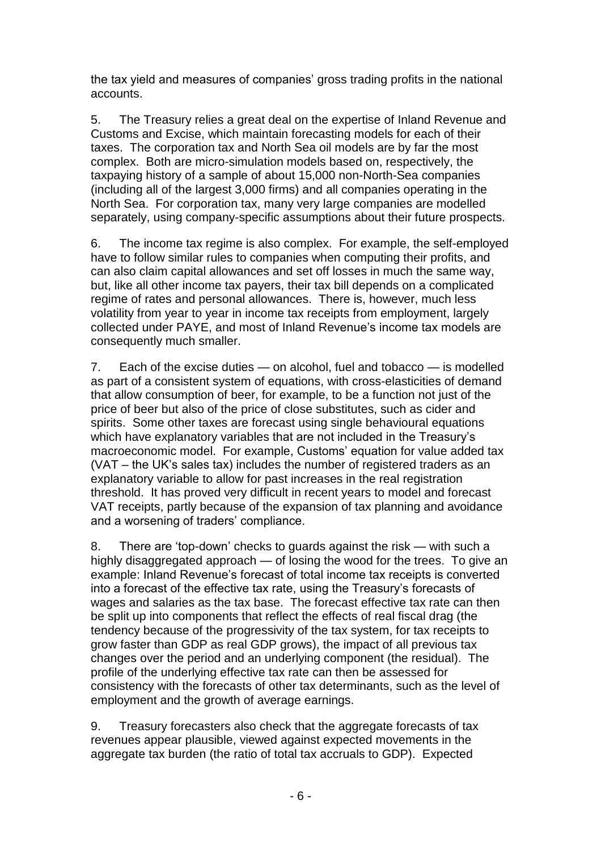the tax yield and measures of companies' gross trading profits in the national accounts.

5. The Treasury relies a great deal on the expertise of Inland Revenue and Customs and Excise, which maintain forecasting models for each of their taxes. The corporation tax and North Sea oil models are by far the most complex. Both are micro-simulation models based on, respectively, the taxpaying history of a sample of about 15,000 non-North-Sea companies (including all of the largest 3,000 firms) and all companies operating in the North Sea. For corporation tax, many very large companies are modelled separately, using company-specific assumptions about their future prospects.

6. The income tax regime is also complex. For example, the self-employed have to follow similar rules to companies when computing their profits, and can also claim capital allowances and set off losses in much the same way, but, like all other income tax payers, their tax bill depends on a complicated regime of rates and personal allowances. There is, however, much less volatility from year to year in income tax receipts from employment, largely collected under PAYE, and most of Inland Revenue's income tax models are consequently much smaller.

7. Each of the excise duties — on alcohol, fuel and tobacco — is modelled as part of a consistent system of equations, with cross-elasticities of demand that allow consumption of beer, for example, to be a function not just of the price of beer but also of the price of close substitutes, such as cider and spirits. Some other taxes are forecast using single behavioural equations which have explanatory variables that are not included in the Treasury's macroeconomic model. For example, Customs' equation for value added tax (VAT – the UK's sales tax) includes the number of registered traders as an explanatory variable to allow for past increases in the real registration threshold. It has proved very difficult in recent years to model and forecast VAT receipts, partly because of the expansion of tax planning and avoidance and a worsening of traders' compliance.

8. There are 'top-down' checks to guards against the risk — with such a highly disaggregated approach — of losing the wood for the trees. To give an example: Inland Revenue's forecast of total income tax receipts is converted into a forecast of the effective tax rate, using the Treasury's forecasts of wages and salaries as the tax base. The forecast effective tax rate can then be split up into components that reflect the effects of real fiscal drag (the tendency because of the progressivity of the tax system, for tax receipts to grow faster than GDP as real GDP grows), the impact of all previous tax changes over the period and an underlying component (the residual). The profile of the underlying effective tax rate can then be assessed for consistency with the forecasts of other tax determinants, such as the level of employment and the growth of average earnings.

9. Treasury forecasters also check that the aggregate forecasts of tax revenues appear plausible, viewed against expected movements in the aggregate tax burden (the ratio of total tax accruals to GDP). Expected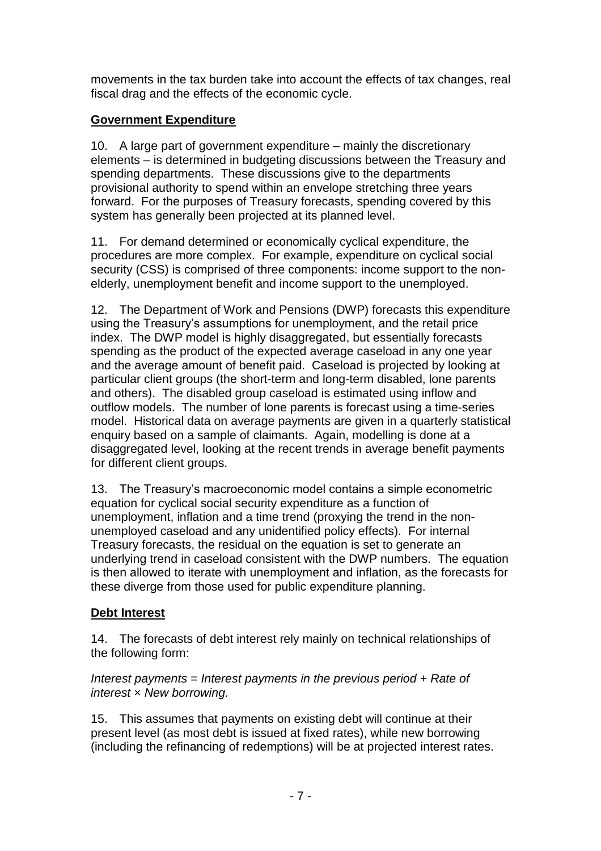movements in the tax burden take into account the effects of tax changes, real fiscal drag and the effects of the economic cycle.

# **Government Expenditure**

10. A large part of government expenditure – mainly the discretionary elements – is determined in budgeting discussions between the Treasury and spending departments. These discussions give to the departments provisional authority to spend within an envelope stretching three years forward. For the purposes of Treasury forecasts, spending covered by this system has generally been projected at its planned level.

11. For demand determined or economically cyclical expenditure, the procedures are more complex. For example, expenditure on cyclical social security (CSS) is comprised of three components: income support to the nonelderly, unemployment benefit and income support to the unemployed.

12. The Department of Work and Pensions (DWP) forecasts this expenditure using the Treasury's assumptions for unemployment, and the retail price index. The DWP model is highly disaggregated, but essentially forecasts spending as the product of the expected average caseload in any one year and the average amount of benefit paid. Caseload is projected by looking at particular client groups (the short-term and long-term disabled, lone parents and others). The disabled group caseload is estimated using inflow and outflow models. The number of lone parents is forecast using a time-series model. Historical data on average payments are given in a quarterly statistical enquiry based on a sample of claimants. Again, modelling is done at a disaggregated level, looking at the recent trends in average benefit payments for different client groups.

13. The Treasury's macroeconomic model contains a simple econometric equation for cyclical social security expenditure as a function of unemployment, inflation and a time trend (proxying the trend in the nonunemployed caseload and any unidentified policy effects). For internal Treasury forecasts, the residual on the equation is set to generate an underlying trend in caseload consistent with the DWP numbers. The equation is then allowed to iterate with unemployment and inflation, as the forecasts for these diverge from those used for public expenditure planning.

# **Debt Interest**

14. The forecasts of debt interest rely mainly on technical relationships of the following form:

## *Interest payments* = *Interest payments in the previous period* + *Rate of interest* × *New borrowing.*

15. This assumes that payments on existing debt will continue at their present level (as most debt is issued at fixed rates), while new borrowing (including the refinancing of redemptions) will be at projected interest rates.